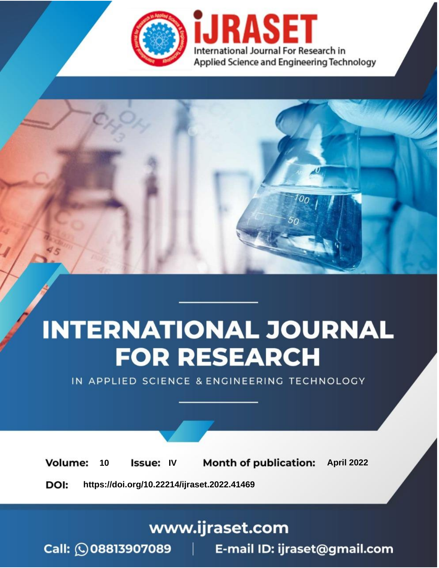

# **INTERNATIONAL JOURNAL FOR RESEARCH**

IN APPLIED SCIENCE & ENGINEERING TECHNOLOGY

10 **Issue: IV Month of publication:** April 2022 **Volume:** 

**https://doi.org/10.22214/ijraset.2022.41469**DOI:

www.ijraset.com

Call: 008813907089 | E-mail ID: ijraset@gmail.com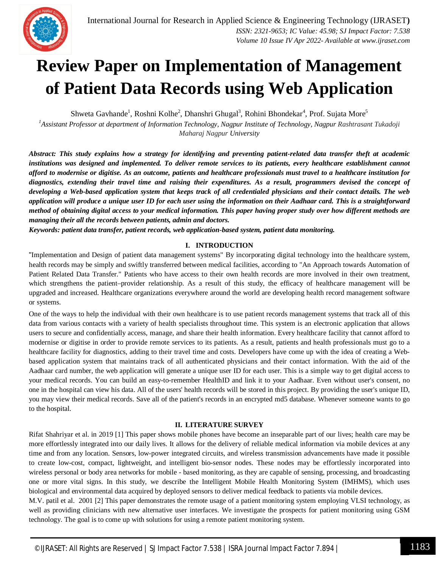### **Review Paper on Implementation of Management of Patient Data Records using Web Application**

Shweta Gavhande<sup>1</sup>, Roshni Kolhe<sup>2</sup>, Dhanshri Ghugal<sup>3</sup>, Rohini Bhondekar<sup>4</sup>, Prof. Sujata More<sup>5</sup>

*<sup>1</sup>Assistant Professor at department of Information Technology, Nagpur Institute of Technology, Nagpur Rashtrasant Tukadoji Maharaj Nagpur University*

*Abstract: This study explains how a strategy for identifying and preventing patient-related data transfer theft at academic institutions was designed and implemented. To deliver remote services to its patients, every healthcare establishment cannot afford to modernise or digitise. As an outcome, patients and healthcare professionals must travel to a healthcare institution for diagnostics, extending their travel time and raising their expenditures. As a result, programmers devised the concept of developing a Web-based application system that keeps track of all credentialed physicians and their contact details. The web application will produce a unique user ID for each user using the information on their Aadhaar card. This is a straightforward method of obtaining digital access to your medical information. This paper having proper study over how different methods are managing their all the records between patients, admin and doctors.*

*Keywords: patient data transfer, patient records, web application-based system, patient data monitoring.*

#### **I. INTRODUCTION**

"Implementation and Design of patient data management systems" By incorporating digital technology into the healthcare system, health records may be simply and swiftly transferred between medical facilities, according to "An Approach towards Automation of Patient Related Data Transfer." Patients who have access to their own health records are more involved in their own treatment, which strengthens the patient–provider relationship. As a result of this study, the efficacy of healthcare management will be upgraded and increased. Healthcare organizations everywhere around the world are developing health record management software or systems.

One of the ways to help the individual with their own healthcare is to use patient records management systems that track all of this data from various contacts with a variety of health specialists throughout time. This system is an electronic application that allows users to secure and confidentially access, manage, and share their health information. Every healthcare facility that cannot afford to modernise or digitise in order to provide remote services to its patients. As a result, patients and health professionals must go to a healthcare facility for diagnostics, adding to their travel time and costs. Developers have come up with the idea of creating a Webbased application system that maintains track of all authenticated physicians and their contact information. With the aid of the Aadhaar card number, the web application will generate a unique user ID for each user. This is a simple way to get digital access to your medical records. You can build an easy-to-remember HealthID and link it to your Aadhaar. Even without user's consent, no one in the hospital can view his data. All of the users' health records will be stored in this project. By providing the user's unique ID, you may view their medical records. Save all of the patient's records in an encrypted md5 database. Whenever someone wants to go to the hospital.

#### **II. LITERATURE SURVEY**

Rifat Shahriyar et al. in 2019 [1] This paper shows mobile phones have become an inseparable part of our lives; health care may be more effortlessly integrated into our daily lives. It allows for the delivery of reliable medical information via mobile devices at any time and from any location. Sensors, low-power integrated circuits, and wireless transmission advancements have made it possible to create low-cost, compact, lightweight, and intelligent bio-sensor nodes. These nodes may be effortlessly incorporated into wireless personal or body area networks for mobile - based monitoring, as they are capable of sensing, processing, and broadcasting one or more vital signs. In this study, we describe the Intelligent Mobile Health Monitoring System (IMHMS), which uses biological and environmental data acquired by deployed sensors to deliver medical feedback to patients via mobile devices.

M.V. patil et al. 2001 [2] This paper demonstrates the remote usage of a patient monitoring system employing VLSI technology, as well as providing clinicians with new alternative user interfaces. We investigate the prospects for patient monitoring using GSM technology. The goal is to come up with solutions for using a remote patient monitoring system.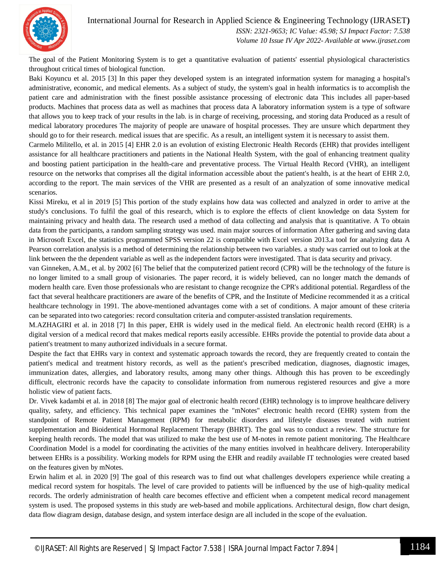

#### International Journal for Research in Applied Science & Engineering Technology (IJRASET**)**

 *ISSN: 2321-9653; IC Value: 45.98; SJ Impact Factor: 7.538 Volume 10 Issue IV Apr 2022- Available at www.ijraset.com*

The goal of the Patient Monitoring System is to get a quantitative evaluation of patients' essential physiological characteristics throughout critical times of biological function.

Baki Koyuncu et al. 2015 [3] In this paper they developed system is an integrated information system for managing a hospital's administrative, economic, and medical elements. As a subject of study, the system's goal in health informatics is to accomplish the patient care and administration with the finest possible assistance processing of electronic data This includes all paper-based products. Machines that process data as well as machines that process data A laboratory information system is a type of software that allows you to keep track of your results in the lab. is in charge of receiving, processing, and storing data Produced as a result of medical laboratory procedures The majority of people are unaware of hospital processes. They are unsure which department they should go to for their research. medical issues that are specific. As a result, an intelligent system it is necessary to assist them.

Carmelo Militello, et al. in 2015 [4] EHR 2.0 is an evolution of existing Electronic Health Records (EHR) that provides intelligent assistance for all healthcare practitioners and patients in the National Health System, with the goal of enhancing treatment quality and boosting patient participation in the health-care and preventative process. The Virtual Health Record (VHR), an intelligent resource on the networks that comprises all the digital information accessible about the patient's health, is at the heart of EHR 2.0, according to the report. The main services of the VHR are presented as a result of an analyzation of some innovative medical scenarios.

Kissi Mireku, et al in 2019 [5] This portion of the study explains how data was collected and analyzed in order to arrive at the study's conclusions. To fulfil the goal of this research, which is to explore the effects of client knowledge on data System for maintaining privacy and health data. The research used a method of data collecting and analysis that is quantitative. A To obtain data from the participants, a random sampling strategy was used. main major sources of information After gathering and saving data in Microsoft Excel, the statistics programmed SPSS version 22 is compatible with Excel version 2013.a tool for analyzing data A Pearson correlation analysis is a method of determining the relationship between two variables. a study was carried out to look at the link between the the dependent variable as well as the independent factors were investigated. That is data security and privacy.

van Ginneken, A.M., et al. by 2002 [6] The belief that the computerized patient record (CPR) will be the technology of the future is no longer limited to a small group of visionaries. The paper record, it is widely believed, can no longer match the demands of modern health care. Even those professionals who are resistant to change recognize the CPR's additional potential. Regardless of the fact that several healthcare practitioners are aware of the benefits of CPR, and the Institute of Medicine recommended it as a critical healthcare technology in 1991. The above-mentioned advantages come with a set of conditions. A major amount of these criteria can be separated into two categories: record consultation criteria and computer-assisted translation requirements.

M.AZHAGIRI et al. in 2018 [7] In this paper, EHR is widely used in the medical field. An electronic health record (EHR) is a digital version of a medical record that makes medical reports easily accessible. EHRs provide the potential to provide data about a patient's treatment to many authorized individuals in a secure format.

Despite the fact that EHRs vary in context and systematic approach towards the record, they are frequently created to contain the patient's medical and treatment history records, as well as the patient's prescribed medication, diagnoses, diagnostic images, immunization dates, allergies, and laboratory results, among many other things. Although this has proven to be exceedingly difficult, electronic records have the capacity to consolidate information from numerous registered resources and give a more holistic view of patient facts.

Dr. Vivek kadambi et al. in 2018 [8] The major goal of electronic health record (EHR) technology is to improve healthcare delivery quality, safety, and efficiency. This technical paper examines the "mNotes" electronic health record (EHR) system from the standpoint of Remote Patient Management (RPM) for metabolic disorders and lifestyle diseases treated with nutrient supplementation and Bioidentical Hormonal Replacement Therapy (BHRT). The goal was to conduct a review. The structure for keeping health records. The model that was utilized to make the best use of M-notes in remote patient monitoring. The Healthcare Coordination Model is a model for coordinating the activities of the many entities involved in healthcare delivery. Interoperability between EHRs is a possibility. Working models for RPM using the EHR and readily available IT technologies were created based on the features given by mNotes.

Erwin halim et al. in 2020 [9] The goal of this research was to find out what challenges developers experience while creating a medical record system for hospitals. The level of care provided to patients will be influenced by the use of high-quality medical records. The orderly administration of health care becomes effective and efficient when a competent medical record management system is used. The proposed systems in this study are web-based and mobile applications. Architectural design, flow chart design, data flow diagram design, database design, and system interface design are all included in the scope of the evaluation.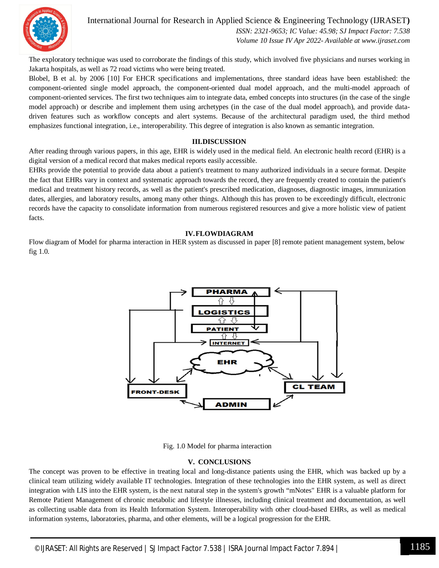

#### International Journal for Research in Applied Science & Engineering Technology (IJRASET**)**

 *ISSN: 2321-9653; IC Value: 45.98; SJ Impact Factor: 7.538 Volume 10 Issue IV Apr 2022- Available at www.ijraset.com*

The exploratory technique was used to corroborate the findings of this study, which involved five physicians and nurses working in Jakarta hospitals, as well as 72 road victims who were being treated.

Blobel, B et al. by 2006 [10] For EHCR specifications and implementations, three standard ideas have been established: the component-oriented single model approach, the component-oriented dual model approach, and the multi-model approach of component-oriented services. The first two techniques aim to integrate data, embed concepts into structures (in the case of the single model approach) or describe and implement them using archetypes (in the case of the dual model approach), and provide datadriven features such as workflow concepts and alert systems. Because of the architectural paradigm used, the third method emphasizes functional integration, i.e., interoperability. This degree of integration is also known as semantic integration.

#### **III.DISCUSSION**

After reading through various papers, in this age, EHR is widely used in the medical field. An electronic health record (EHR) is a digital version of a medical record that makes medical reports easily accessible.

EHRs provide the potential to provide data about a patient's treatment to many authorized individuals in a secure format. Despite the fact that EHRs vary in context and systematic approach towards the record, they are frequently created to contain the patient's medical and treatment history records, as well as the patient's prescribed medication, diagnoses, diagnostic images, immunization dates, allergies, and laboratory results, among many other things. Although this has proven to be exceedingly difficult, electronic records have the capacity to consolidate information from numerous registered resources and give a more holistic view of patient facts.

#### **IV.FLOWDIAGRAM**

Flow diagram of Model for pharma interaction in HER system as discussed in paper [8] remote patient management system, below fig 1.0.



Fig. 1.0 Model for pharma interaction

#### **V. CONCLUSIONS**

The concept was proven to be effective in treating local and long-distance patients using the EHR, which was backed up by a clinical team utilizing widely available IT technologies. Integration of these technologies into the EHR system, as well as direct integration with LIS into the EHR system, is the next natural step in the system's growth "mNotes" EHR is a valuable platform for Remote Patient Management of chronic metabolic and lifestyle illnesses, including clinical treatment and documentation, as well as collecting usable data from its Health Information System. Interoperability with other cloud-based EHRs, as well as medical information systems, laboratories, pharma, and other elements, will be a logical progression for the EHR.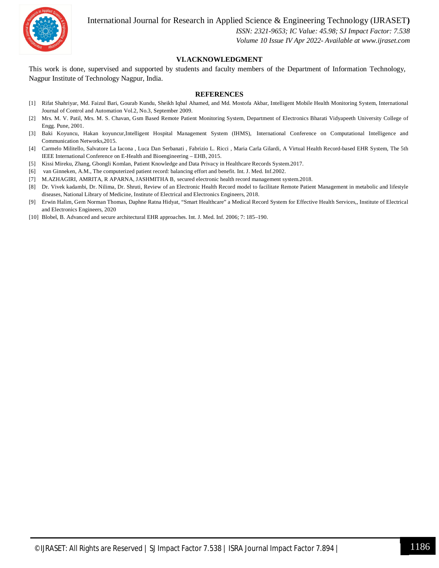

International Journal for Research in Applied Science & Engineering Technology (IJRASET**)**

 *ISSN: 2321-9653; IC Value: 45.98; SJ Impact Factor: 7.538 Volume 10 Issue IV Apr 2022- Available at www.ijraset.com*

#### **VI.ACKNOWLEDGMENT**

This work is done, supervised and supported by students and faculty members of the Department of Information Technology, Nagpur Institute of Technology Nagpur, India.

#### **REFERENCES**

- [1] Rifat Shahriyar, Md. Faizul Bari, Gourab Kundu, Sheikh Iqbal Ahamed, and Md. Mostofa Akbar, Intelligent Mobile Health Monitoring System, International Journal of Control and Automation Vol.2, No.3, September 2009.
- [2] Mrs. M. V. Patil, Mrs. M. S. Chavan, Gsm Based Remote Patient Monitoring System, Department of Electronics Bharati Vidyapeeth University College of Engg. Pune, 2001.
- [3] Baki Koyuncu, Hakan koyuncur,Intelligent Hospital Management System (IHMS), International Conference on Computational Intelligence and Communication Networks,2015.
- [4] Carmelo Militello, Salvatore La Iacona , Luca Dan Serbanati , Fabrizio L. Ricci , Maria Carla Gilardi, A Virtual Health Record-based EHR System, The 5th IEEE International Conference on E-Health and Bioengineering – EHB, 2015.
- [5] Kissi Mireku, Zhang, Gbongli Komlan, Patient Knowledge and Data Privacy in Healthcare Records System.2017.
- [6] van Ginneken, A.M., The computerized patient record: balancing effort and benefit. Int. J. Med. Inf.2002.
- [7] M.AZHAGIRI, AMRITA, R APARNA, JASHMITHA B, secured electronic health record management system.2018.
- [8] Dr. Vivek kadambi, Dr. Nilima, Dr. Shruti, Review of an Electronic Health Record model to facilitate Remote Patient Management in metabolic and lifestyle diseases, National Library of Medicine, Institute of Electrical and Electronics Engineers, 2018.
- [9] Erwin Halim, Gem Norman Thomas, Daphne Ratna Hidyat, "Smart Healthcare" a Medical Record System for Effective Health Services,, Institute of Electrical and Electronics Engineers, 2020
- [10] Blobel, B. Advanced and secure architectural EHR approaches. Int. J. Med. Inf. 2006; 7: 185–190.